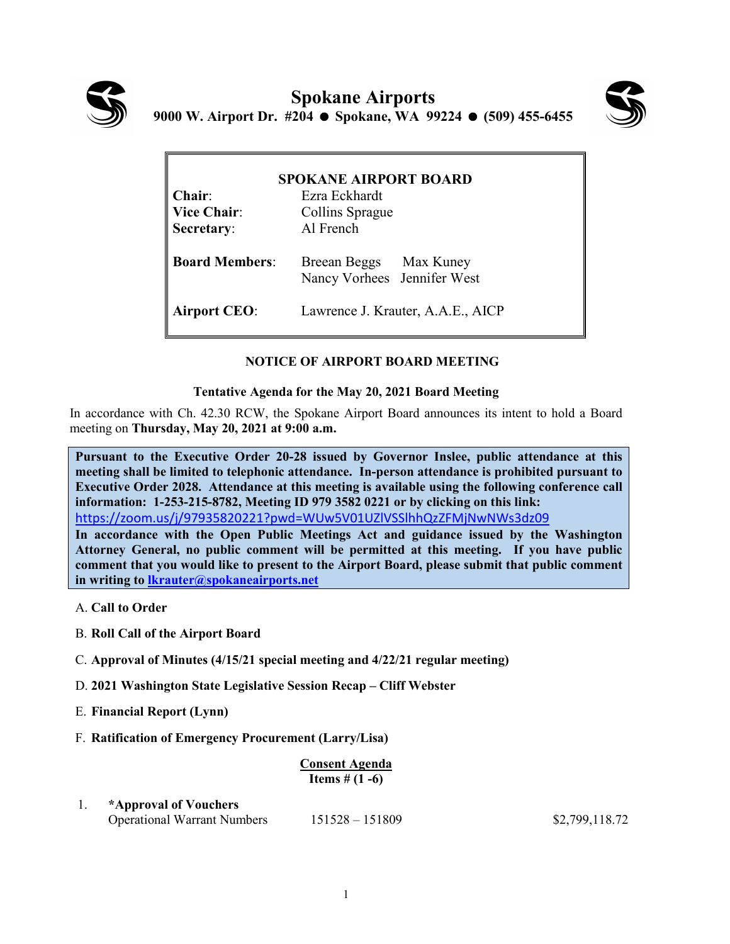



| <b>SPOKANE AIRPORT BOARD</b> |                                                       |
|------------------------------|-------------------------------------------------------|
| $Chair:$                     | Ezra Eckhardt                                         |
| <b>Vice Chair:</b>           | Collins Sprague                                       |
| Secretary:                   | Al French                                             |
| <b>Board Members:</b>        | Breean Beggs Max Kuney<br>Nancy Vorhees Jennifer West |
| <b>Airport CEO:</b>          | Lawrence J. Krauter, A.A.E., AICP                     |

## **NOTICE OF AIRPORT BOARD MEETING**

## **Tentative Agenda for the May 20, 2021 Board Meeting**

In accordance with Ch. 42.30 RCW, the Spokane Airport Board announces its intent to hold a Board meeting on **Thursday, May 20, 2021 at 9:00 a.m.** 

**Pursuant to the Executive Order 20-28 issued by Governor Inslee, public attendance at this meeting shall be limited to telephonic attendance. In-person attendance is prohibited pursuant to Executive Order 2028. Attendance at this meeting is available using the following conference call information: 1-253-215-8782, Meeting ID 979 3582 0221 or by clicking on this link:**  <https://zoom.us/j/97935820221?pwd=WUw5V01UZlVSSlhhQzZFMjNwNWs3dz09>

**In accordance with the Open Public Meetings Act and guidance issued by the Washington Attorney General, no public comment will be permitted at this meeting. If you have public comment that you would like to present to the Airport Board, please submit that public comment in writing to [lkrauter@spokaneairports.net](mailto:lkrauter@spokaneairports.net)**

- A. **Call to Order**
- B. **Roll Call of the Airport Board**
- C. **Approval of Minutes (4/15/21 special meeting and 4/22/21 regular meeting)**
- D. **2021 Washington State Legislative Session Recap – Cliff Webster**
- E. **Financial Report (Lynn)**
- F. **Ratification of Emergency Procurement (Larry/Lisa)**

## **Consent Agenda Items # (1 -6)**

1. **\*Approval of Vouchers** Operational Warrant Numbers 151528 – 151809 \$2,799,118.72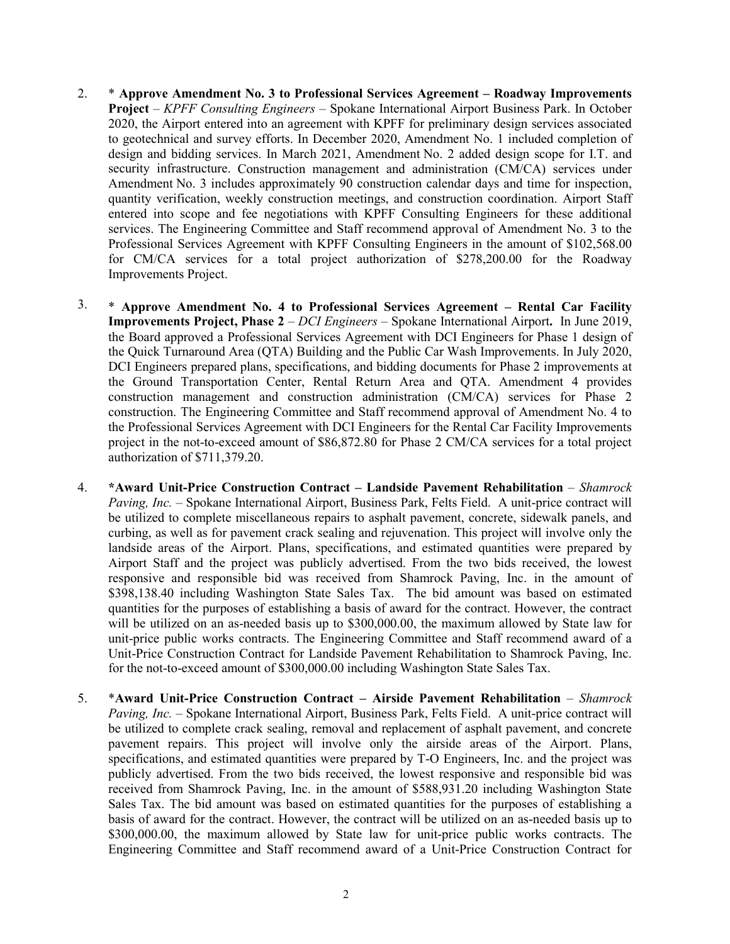- 2. \* **Approve Amendment No. 3 to Professional Services Agreement – Roadway Improvements Project** – *KPFF Consulting Engineers* – Spokane International Airport Business Park. In October 2020, the Airport entered into an agreement with KPFF for preliminary design services associated to geotechnical and survey efforts. In December 2020, Amendment No. 1 included completion of design and bidding services. In March 2021, Amendment No. 2 added design scope for I.T. and security infrastructure. Construction management and administration (CM/CA) services under Amendment No. 3 includes approximately 90 construction calendar days and time for inspection, quantity verification, weekly construction meetings, and construction coordination. Airport Staff entered into scope and fee negotiations with KPFF Consulting Engineers for these additional services. The Engineering Committee and Staff recommend approval of Amendment No. 3 to the Professional Services Agreement with KPFF Consulting Engineers in the amount of \$102,568.00 for CM/CA services for a total project authorization of \$278,200.00 for the Roadway Improvements Project.
- 3. \* **Approve Amendment No. 4 to Professional Services Agreement – Rental Car Facility Improvements Project, Phase 2** – *DCI Engineers* – Spokane International Airport**.** In June 2019, the Board approved a Professional Services Agreement with DCI Engineers for Phase 1 design of the Quick Turnaround Area (QTA) Building and the Public Car Wash Improvements. In July 2020, DCI Engineers prepared plans, specifications, and bidding documents for Phase 2 improvements at the Ground Transportation Center, Rental Return Area and QTA. Amendment 4 provides construction management and construction administration (CM/CA) services for Phase 2 construction. The Engineering Committee and Staff recommend approval of Amendment No. 4 to the Professional Services Agreement with DCI Engineers for the Rental Car Facility Improvements project in the not-to-exceed amount of \$86,872.80 for Phase 2 CM/CA services for a total project authorization of \$711,379.20.
- 4. **\*Award Unit-Price Construction Contract – Landside Pavement Rehabilitation** *Shamrock Paving, Inc.* – Spokane International Airport, Business Park, Felts Field. A unit-price contract will be utilized to complete miscellaneous repairs to asphalt pavement, concrete, sidewalk panels, and curbing, as well as for pavement crack sealing and rejuvenation. This project will involve only the landside areas of the Airport. Plans, specifications, and estimated quantities were prepared by Airport Staff and the project was publicly advertised. From the two bids received, the lowest responsive and responsible bid was received from Shamrock Paving, Inc. in the amount of \$398,138.40 including Washington State Sales Tax. The bid amount was based on estimated quantities for the purposes of establishing a basis of award for the contract. However, the contract will be utilized on an as-needed basis up to \$300,000.00, the maximum allowed by State law for unit-price public works contracts. The Engineering Committee and Staff recommend award of a Unit-Price Construction Contract for Landside Pavement Rehabilitation to Shamrock Paving, Inc. for the not-to-exceed amount of \$300,000.00 including Washington State Sales Tax.
- 5. \***Award Unit-Price Construction Contract – Airside Pavement Rehabilitation** *Shamrock Paving, Inc.* – Spokane International Airport, Business Park, Felts Field. A unit-price contract will be utilized to complete crack sealing, removal and replacement of asphalt pavement, and concrete pavement repairs. This project will involve only the airside areas of the Airport. Plans, specifications, and estimated quantities were prepared by T-O Engineers, Inc. and the project was publicly advertised. From the two bids received, the lowest responsive and responsible bid was received from Shamrock Paving, Inc. in the amount of \$588,931.20 including Washington State Sales Tax. The bid amount was based on estimated quantities for the purposes of establishing a basis of award for the contract. However, the contract will be utilized on an as-needed basis up to \$300,000.00, the maximum allowed by State law for unit-price public works contracts. The Engineering Committee and Staff recommend award of a Unit-Price Construction Contract for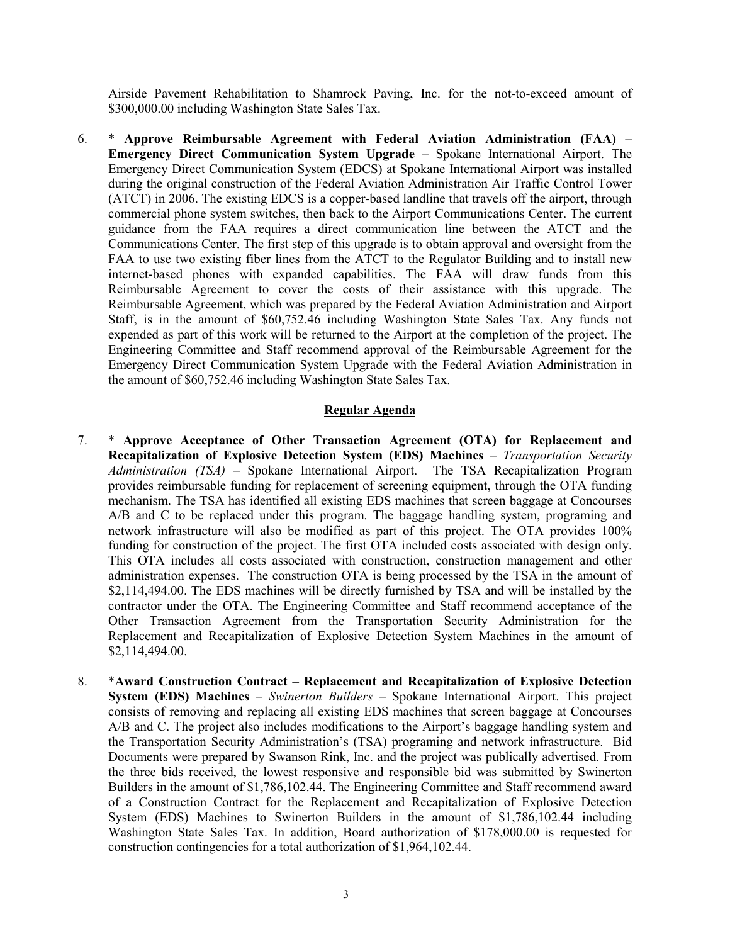Airside Pavement Rehabilitation to Shamrock Paving, Inc. for the not-to-exceed amount of \$300,000.00 including Washington State Sales Tax.

6. \* **Approve Reimbursable Agreement with Federal Aviation Administration (FAA) – Emergency Direct Communication System Upgrade** – Spokane International Airport. The Emergency Direct Communication System (EDCS) at Spokane International Airport was installed during the original construction of the Federal Aviation Administration Air Traffic Control Tower (ATCT) in 2006. The existing EDCS is a copper-based landline that travels off the airport, through commercial phone system switches, then back to the Airport Communications Center. The current guidance from the FAA requires a direct communication line between the ATCT and the Communications Center. The first step of this upgrade is to obtain approval and oversight from the FAA to use two existing fiber lines from the ATCT to the Regulator Building and to install new internet-based phones with expanded capabilities. The FAA will draw funds from this Reimbursable Agreement to cover the costs of their assistance with this upgrade. The Reimbursable Agreement, which was prepared by the Federal Aviation Administration and Airport Staff, is in the amount of \$60,752.46 including Washington State Sales Tax. Any funds not expended as part of this work will be returned to the Airport at the completion of the project. The Engineering Committee and Staff recommend approval of the Reimbursable Agreement for the Emergency Direct Communication System Upgrade with the Federal Aviation Administration in the amount of \$60,752.46 including Washington State Sales Tax.

## **Regular Agenda**

- 7. \* **Approve Acceptance of Other Transaction Agreement (OTA) for Replacement and Recapitalization of Explosive Detection System (EDS) Machines** – *Transportation Security Administration (TSA)* – Spokane International Airport. The TSA Recapitalization Program provides reimbursable funding for replacement of screening equipment, through the OTA funding mechanism. The TSA has identified all existing EDS machines that screen baggage at Concourses A/B and C to be replaced under this program. The baggage handling system, programing and network infrastructure will also be modified as part of this project. The OTA provides 100% funding for construction of the project. The first OTA included costs associated with design only. This OTA includes all costs associated with construction, construction management and other administration expenses. The construction OTA is being processed by the TSA in the amount of \$2,114,494.00. The EDS machines will be directly furnished by TSA and will be installed by the contractor under the OTA. The Engineering Committee and Staff recommend acceptance of the Other Transaction Agreement from the Transportation Security Administration for the Replacement and Recapitalization of Explosive Detection System Machines in the amount of \$2,114,494.00.
- 8. \***Award Construction Contract – Replacement and Recapitalization of Explosive Detection System (EDS) Machines** – *Swinerton Builders* – Spokane International Airport. This project consists of removing and replacing all existing EDS machines that screen baggage at Concourses A/B and C. The project also includes modifications to the Airport's baggage handling system and the Transportation Security Administration's (TSA) programing and network infrastructure. Bid Documents were prepared by Swanson Rink, Inc. and the project was publically advertised. From the three bids received, the lowest responsive and responsible bid was submitted by Swinerton Builders in the amount of \$1,786,102.44. The Engineering Committee and Staff recommend award of a Construction Contract for the Replacement and Recapitalization of Explosive Detection System (EDS) Machines to Swinerton Builders in the amount of \$1,786,102.44 including Washington State Sales Tax. In addition, Board authorization of \$178,000.00 is requested for construction contingencies for a total authorization of \$1,964,102.44.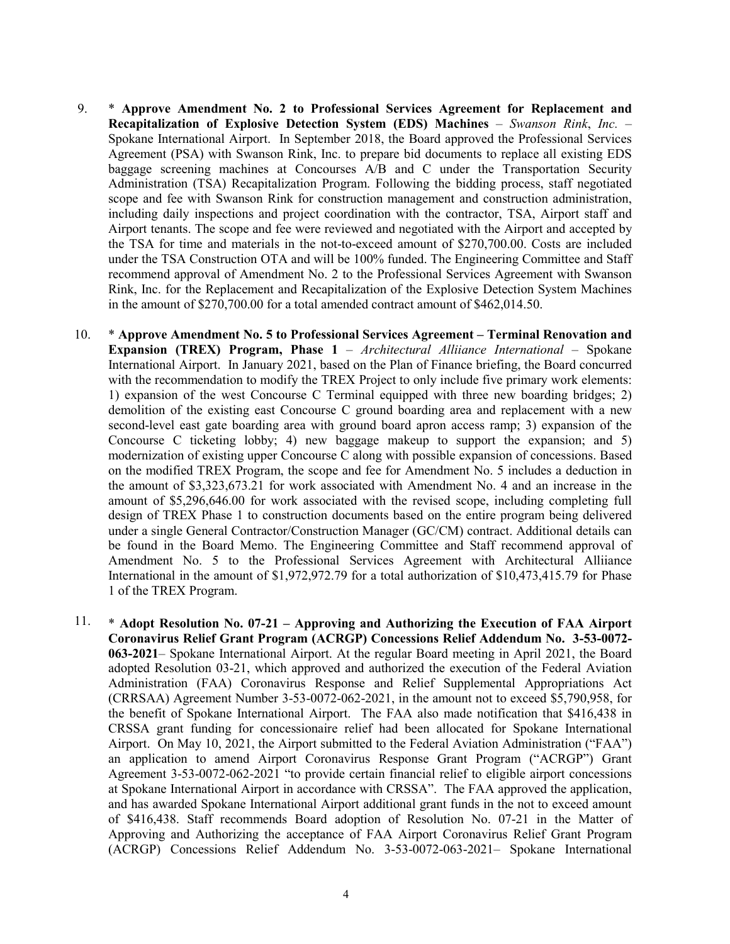- 9. \* **Approve Amendment No. 2 to Professional Services Agreement for Replacement and Recapitalization of Explosive Detection System (EDS) Machines** – *Swanson Rink*, *Inc.* – Spokane International Airport. In September 2018, the Board approved the Professional Services Agreement (PSA) with Swanson Rink, Inc. to prepare bid documents to replace all existing EDS baggage screening machines at Concourses A/B and C under the Transportation Security Administration (TSA) Recapitalization Program. Following the bidding process, staff negotiated scope and fee with Swanson Rink for construction management and construction administration, including daily inspections and project coordination with the contractor, TSA, Airport staff and Airport tenants. The scope and fee were reviewed and negotiated with the Airport and accepted by the TSA for time and materials in the not-to-exceed amount of \$270,700.00. Costs are included under the TSA Construction OTA and will be 100% funded. The Engineering Committee and Staff recommend approval of Amendment No. 2 to the Professional Services Agreement with Swanson Rink, Inc. for the Replacement and Recapitalization of the Explosive Detection System Machines in the amount of \$270,700.00 for a total amended contract amount of \$462,014.50.
- 10. \* **Approve Amendment No. 5 to Professional Services Agreement – Terminal Renovation and Expansion (TREX) Program, Phase 1** – *Architectural Alliiance International* – Spokane International Airport. In January 2021, based on the Plan of Finance briefing, the Board concurred with the recommendation to modify the TREX Project to only include five primary work elements: 1) expansion of the west Concourse C Terminal equipped with three new boarding bridges; 2) demolition of the existing east Concourse C ground boarding area and replacement with a new second-level east gate boarding area with ground board apron access ramp; 3) expansion of the Concourse C ticketing lobby; 4) new baggage makeup to support the expansion; and 5) modernization of existing upper Concourse C along with possible expansion of concessions. Based on the modified TREX Program, the scope and fee for Amendment No. 5 includes a deduction in the amount of \$3,323,673.21 for work associated with Amendment No. 4 and an increase in the amount of \$5,296,646.00 for work associated with the revised scope, including completing full design of TREX Phase 1 to construction documents based on the entire program being delivered under a single General Contractor/Construction Manager (GC/CM) contract. Additional details can be found in the Board Memo. The Engineering Committee and Staff recommend approval of Amendment No. 5 to the Professional Services Agreement with Architectural Alliiance International in the amount of \$1,972,972.79 for a total authorization of \$10,473,415.79 for Phase 1 of the TREX Program.
- 11. \* **Adopt Resolution No. 07-21 – Approving and Authorizing the Execution of FAA Airport Coronavirus Relief Grant Program (ACRGP) Concessions Relief Addendum No. 3-53-0072- 063-2021**– Spokane International Airport. At the regular Board meeting in April 2021, the Board adopted Resolution 03-21, which approved and authorized the execution of the Federal Aviation Administration (FAA) Coronavirus Response and Relief Supplemental Appropriations Act (CRRSAA) Agreement Number 3-53-0072-062-2021, in the amount not to exceed \$5,790,958, for the benefit of Spokane International Airport. The FAA also made notification that \$416,438 in CRSSA grant funding for concessionaire relief had been allocated for Spokane International Airport. On May 10, 2021, the Airport submitted to the Federal Aviation Administration ("FAA") an application to amend Airport Coronavirus Response Grant Program ("ACRGP") Grant Agreement 3-53-0072-062-2021 "to provide certain financial relief to eligible airport concessions at Spokane International Airport in accordance with CRSSA". The FAA approved the application, and has awarded Spokane International Airport additional grant funds in the not to exceed amount of \$416,438. Staff recommends Board adoption of Resolution No. 07-21 in the Matter of Approving and Authorizing the acceptance of FAA Airport Coronavirus Relief Grant Program (ACRGP) Concessions Relief Addendum No. 3-53-0072-063-2021– Spokane International